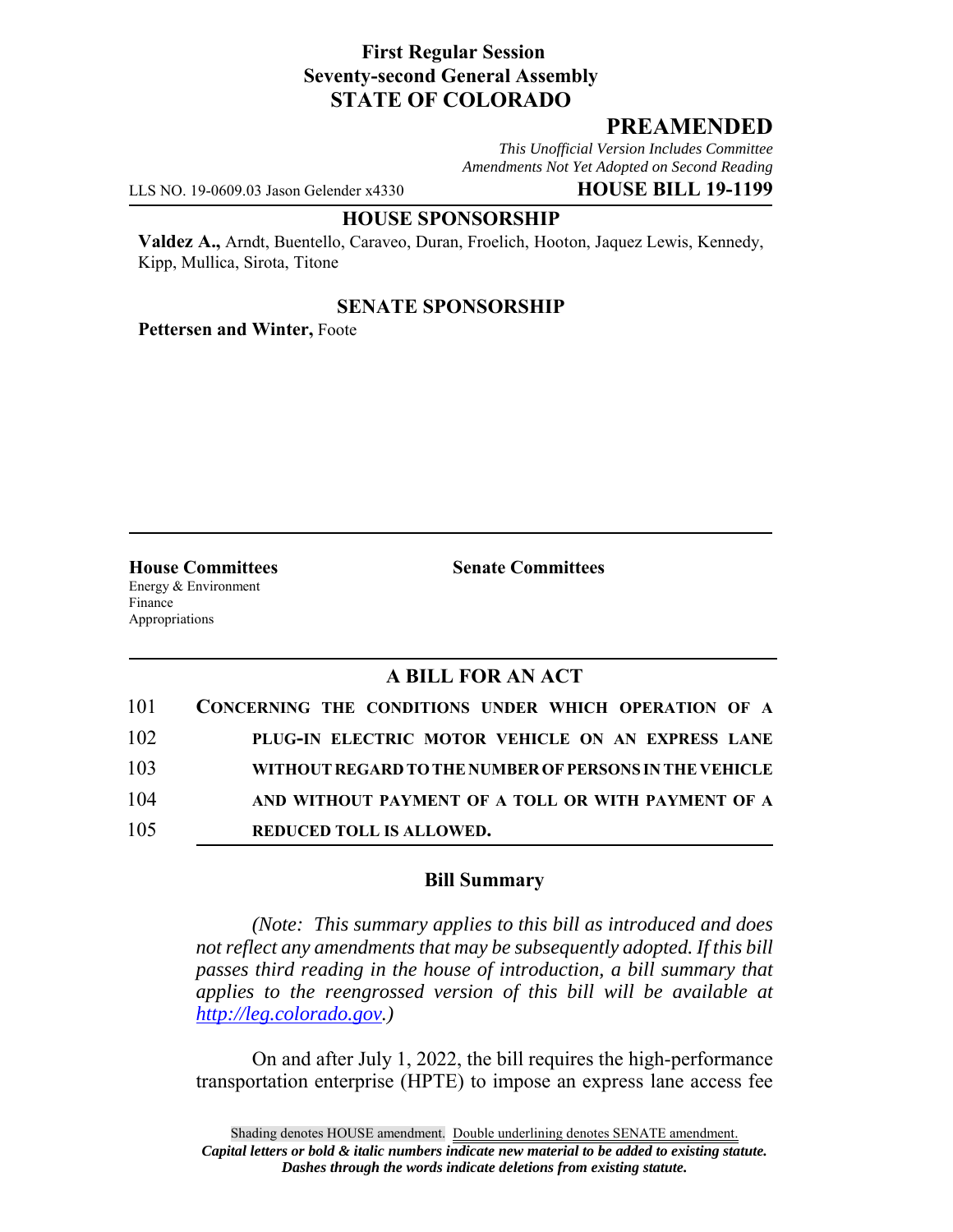# **First Regular Session Seventy-second General Assembly STATE OF COLORADO**

# **PREAMENDED**

*This Unofficial Version Includes Committee Amendments Not Yet Adopted on Second Reading*

LLS NO. 19-0609.03 Jason Gelender x4330 **HOUSE BILL 19-1199**

#### **HOUSE SPONSORSHIP**

**Valdez A.,** Arndt, Buentello, Caraveo, Duran, Froelich, Hooton, Jaquez Lewis, Kennedy, Kipp, Mullica, Sirota, Titone

### **SENATE SPONSORSHIP**

**Pettersen and Winter,** Foote

Energy & Environment Finance Appropriations

**House Committees Senate Committees** 

# **A BILL FOR AN ACT**

| 101 | CONCERNING THE CONDITIONS UNDER WHICH OPERATION OF A   |
|-----|--------------------------------------------------------|
| 102 | PLUG-IN ELECTRIC MOTOR VEHICLE ON AN EXPRESS LANE      |
| 103 | WITHOUT REGARD TO THE NUMBER OF PERSONS IN THE VEHICLE |
| 104 | AND WITHOUT PAYMENT OF A TOLL OR WITH PAYMENT OF A     |
| 105 | <b>REDUCED TOLL IS ALLOWED.</b>                        |

### **Bill Summary**

*(Note: This summary applies to this bill as introduced and does not reflect any amendments that may be subsequently adopted. If this bill passes third reading in the house of introduction, a bill summary that applies to the reengrossed version of this bill will be available at http://leg.colorado.gov.)*

On and after July 1, 2022, the bill requires the high-performance transportation enterprise (HPTE) to impose an express lane access fee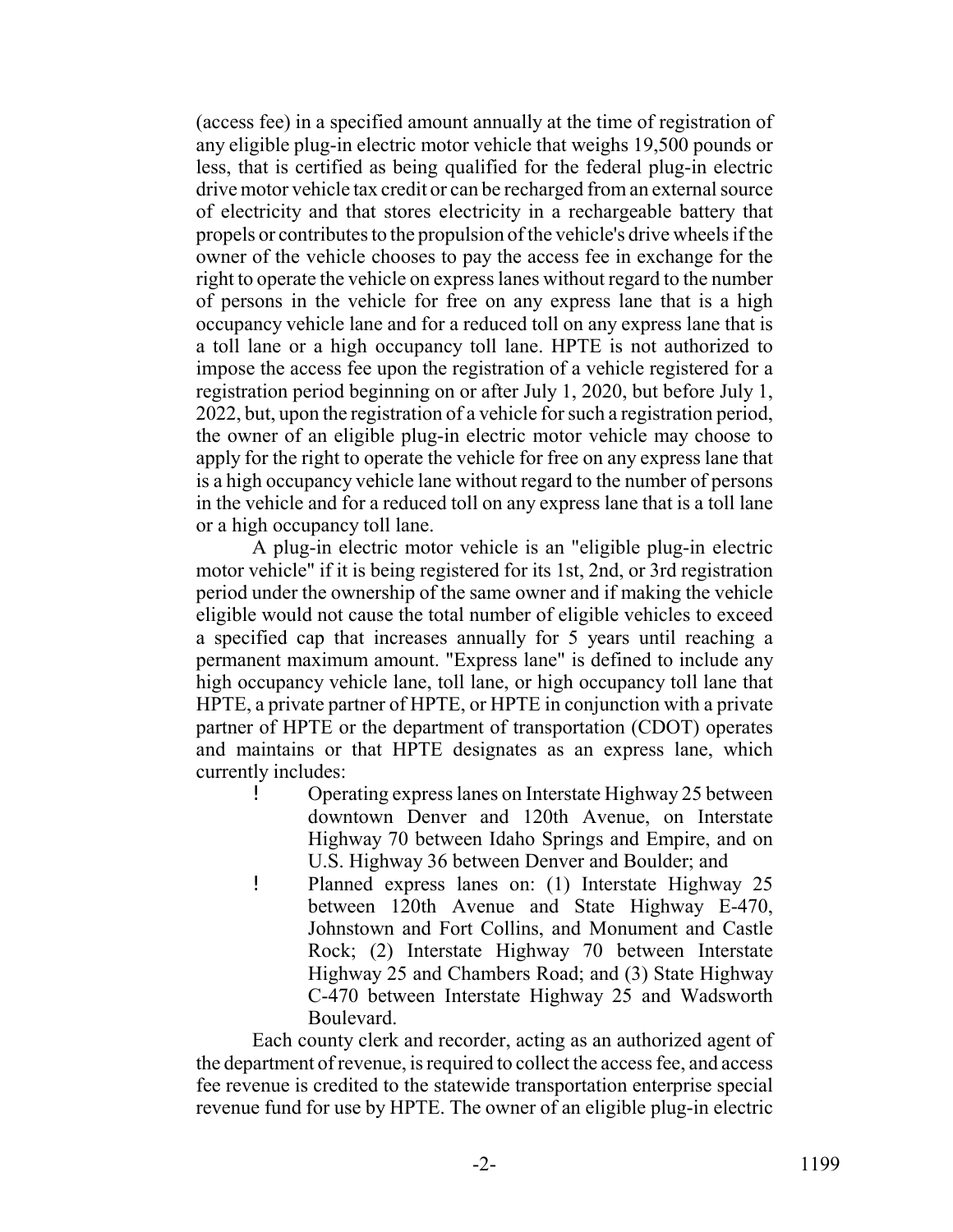(access fee) in a specified amount annually at the time of registration of any eligible plug-in electric motor vehicle that weighs 19,500 pounds or less, that is certified as being qualified for the federal plug-in electric drive motor vehicle tax credit or can be recharged from an external source of electricity and that stores electricity in a rechargeable battery that propels or contributes to the propulsion of the vehicle's drive wheels if the owner of the vehicle chooses to pay the access fee in exchange for the right to operate the vehicle on express lanes without regard to the number of persons in the vehicle for free on any express lane that is a high occupancy vehicle lane and for a reduced toll on any express lane that is a toll lane or a high occupancy toll lane. HPTE is not authorized to impose the access fee upon the registration of a vehicle registered for a registration period beginning on or after July 1, 2020, but before July 1, 2022, but, upon the registration of a vehicle for such a registration period, the owner of an eligible plug-in electric motor vehicle may choose to apply for the right to operate the vehicle for free on any express lane that is a high occupancy vehicle lane without regard to the number of persons in the vehicle and for a reduced toll on any express lane that is a toll lane or a high occupancy toll lane.

A plug-in electric motor vehicle is an "eligible plug-in electric motor vehicle" if it is being registered for its 1st, 2nd, or 3rd registration period under the ownership of the same owner and if making the vehicle eligible would not cause the total number of eligible vehicles to exceed a specified cap that increases annually for 5 years until reaching a permanent maximum amount. "Express lane" is defined to include any high occupancy vehicle lane, toll lane, or high occupancy toll lane that HPTE, a private partner of HPTE, or HPTE in conjunction with a private partner of HPTE or the department of transportation (CDOT) operates and maintains or that HPTE designates as an express lane, which currently includes:

- ! Operating express lanes on Interstate Highway 25 between downtown Denver and 120th Avenue, on Interstate Highway 70 between Idaho Springs and Empire, and on U.S. Highway 36 between Denver and Boulder; and
- ! Planned express lanes on: (1) Interstate Highway 25 between 120th Avenue and State Highway E-470, Johnstown and Fort Collins, and Monument and Castle Rock; (2) Interstate Highway 70 between Interstate Highway 25 and Chambers Road; and (3) State Highway C-470 between Interstate Highway 25 and Wadsworth Boulevard.

Each county clerk and recorder, acting as an authorized agent of the department of revenue, is required to collect the access fee, and access fee revenue is credited to the statewide transportation enterprise special revenue fund for use by HPTE. The owner of an eligible plug-in electric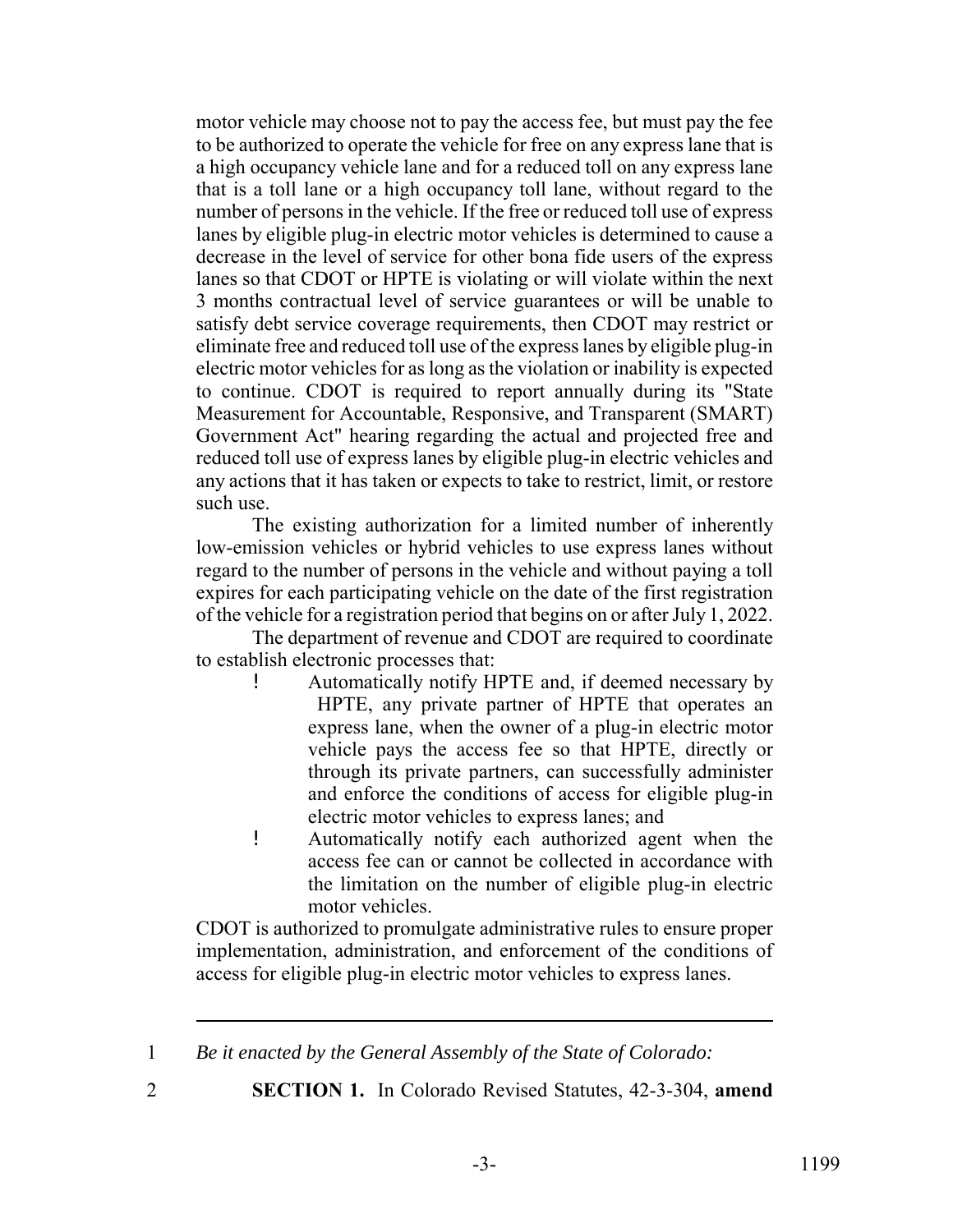motor vehicle may choose not to pay the access fee, but must pay the fee to be authorized to operate the vehicle for free on any express lane that is a high occupancy vehicle lane and for a reduced toll on any express lane that is a toll lane or a high occupancy toll lane, without regard to the number of persons in the vehicle. If the free or reduced toll use of express lanes by eligible plug-in electric motor vehicles is determined to cause a decrease in the level of service for other bona fide users of the express lanes so that CDOT or HPTE is violating or will violate within the next 3 months contractual level of service guarantees or will be unable to satisfy debt service coverage requirements, then CDOT may restrict or eliminate free and reduced toll use of the express lanes by eligible plug-in electric motor vehicles for as long as the violation or inability is expected to continue. CDOT is required to report annually during its "State Measurement for Accountable, Responsive, and Transparent (SMART) Government Act" hearing regarding the actual and projected free and reduced toll use of express lanes by eligible plug-in electric vehicles and any actions that it has taken or expects to take to restrict, limit, or restore such use.

The existing authorization for a limited number of inherently low-emission vehicles or hybrid vehicles to use express lanes without regard to the number of persons in the vehicle and without paying a toll expires for each participating vehicle on the date of the first registration of the vehicle for a registration period that begins on or after July 1, 2022.

The department of revenue and CDOT are required to coordinate to establish electronic processes that:

- ! Automatically notify HPTE and, if deemed necessary by HPTE, any private partner of HPTE that operates an express lane, when the owner of a plug-in electric motor vehicle pays the access fee so that HPTE, directly or through its private partners, can successfully administer and enforce the conditions of access for eligible plug-in electric motor vehicles to express lanes; and
- ! Automatically notify each authorized agent when the access fee can or cannot be collected in accordance with the limitation on the number of eligible plug-in electric motor vehicles.

CDOT is authorized to promulgate administrative rules to ensure proper implementation, administration, and enforcement of the conditions of access for eligible plug-in electric motor vehicles to express lanes.

- 
- 2 **SECTION 1.** In Colorado Revised Statutes, 42-3-304, **amend**

<sup>1</sup> *Be it enacted by the General Assembly of the State of Colorado:*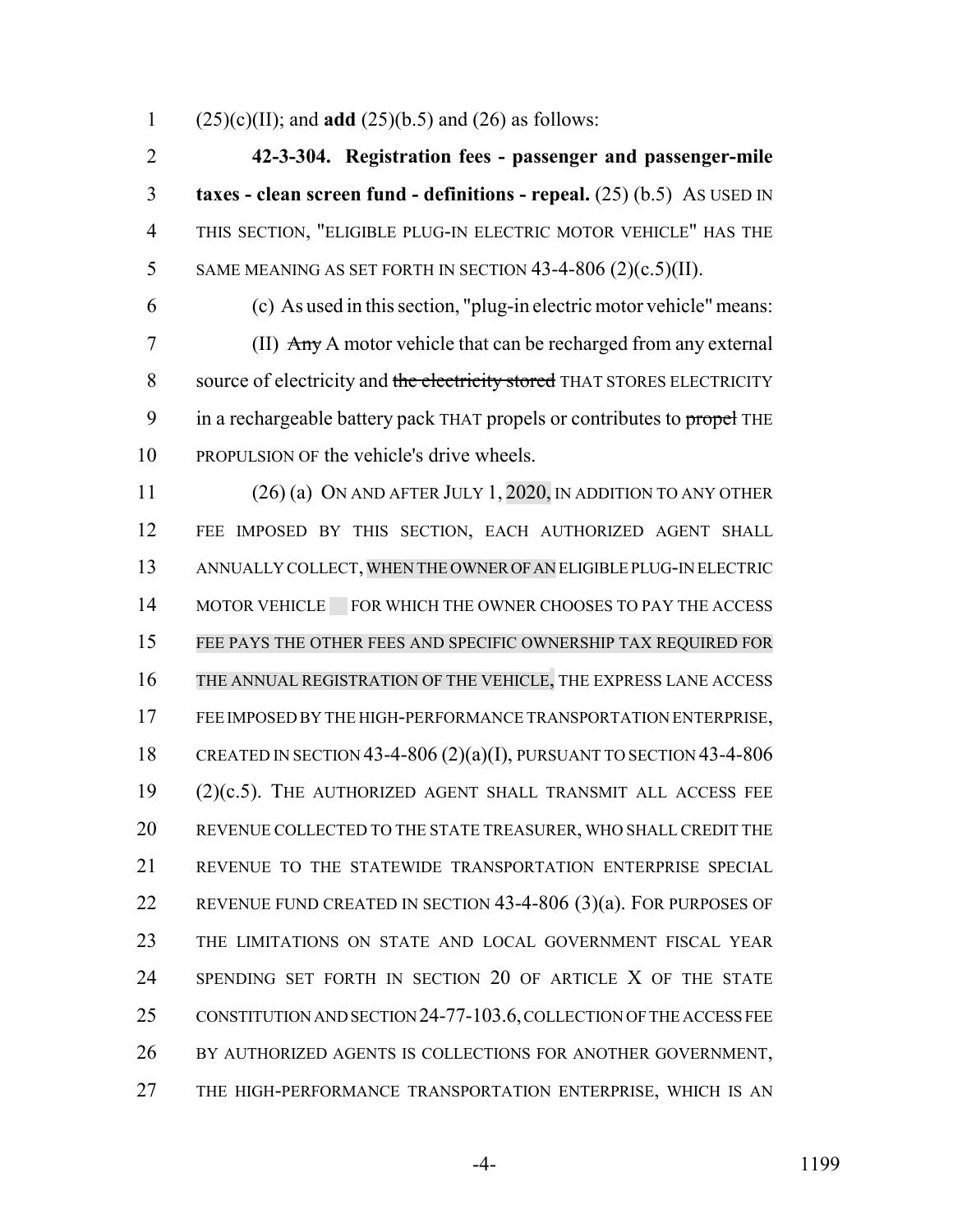(25)(c)(II); and **add** (25)(b.5) and (26) as follows:

 **42-3-304. Registration fees - passenger and passenger-mile taxes - clean screen fund - definitions - repeal.** (25) (b.5) AS USED IN THIS SECTION, "ELIGIBLE PLUG-IN ELECTRIC MOTOR VEHICLE" HAS THE 5 SAME MEANING AS SET FORTH IN SECTION  $43-4-806$  (2)(c.5)(II).

 (c) As used in this section, "plug-in electric motor vehicle" means: (II) Any A motor vehicle that can be recharged from any external 8 source of electricity and the electricity stored THAT STORES ELECTRICITY 9 in a rechargeable battery pack THAT propels or contributes to propel THE PROPULSION OF the vehicle's drive wheels.

 (26) (a) ON AND AFTER JULY 1, 2020, IN ADDITION TO ANY OTHER FEE IMPOSED BY THIS SECTION, EACH AUTHORIZED AGENT SHALL ANNUALLY COLLECT,WHEN THE OWNER OF AN ELIGIBLE PLUG-IN ELECTRIC 14 MOTOR VEHICLE FOR WHICH THE OWNER CHOOSES TO PAY THE ACCESS FEE PAYS THE OTHER FEES AND SPECIFIC OWNERSHIP TAX REQUIRED FOR THE ANNUAL REGISTRATION OF THE VEHICLE, THE EXPRESS LANE ACCESS FEE IMPOSED BY THE HIGH-PERFORMANCE TRANSPORTATION ENTERPRISE, CREATED IN SECTION 43-4-806 (2)(a)(I), PURSUANT TO SECTION 43-4-806 (2)(c.5). THE AUTHORIZED AGENT SHALL TRANSMIT ALL ACCESS FEE REVENUE COLLECTED TO THE STATE TREASURER, WHO SHALL CREDIT THE REVENUE TO THE STATEWIDE TRANSPORTATION ENTERPRISE SPECIAL REVENUE FUND CREATED IN SECTION 43-4-806 (3)(a). FOR PURPOSES OF THE LIMITATIONS ON STATE AND LOCAL GOVERNMENT FISCAL YEAR 24 SPENDING SET FORTH IN SECTION 20 OF ARTICLE X OF THE STATE CONSTITUTION AND SECTION 24-77-103.6, COLLECTION OF THE ACCESS FEE 26 BY AUTHORIZED AGENTS IS COLLECTIONS FOR ANOTHER GOVERNMENT, THE HIGH-PERFORMANCE TRANSPORTATION ENTERPRISE, WHICH IS AN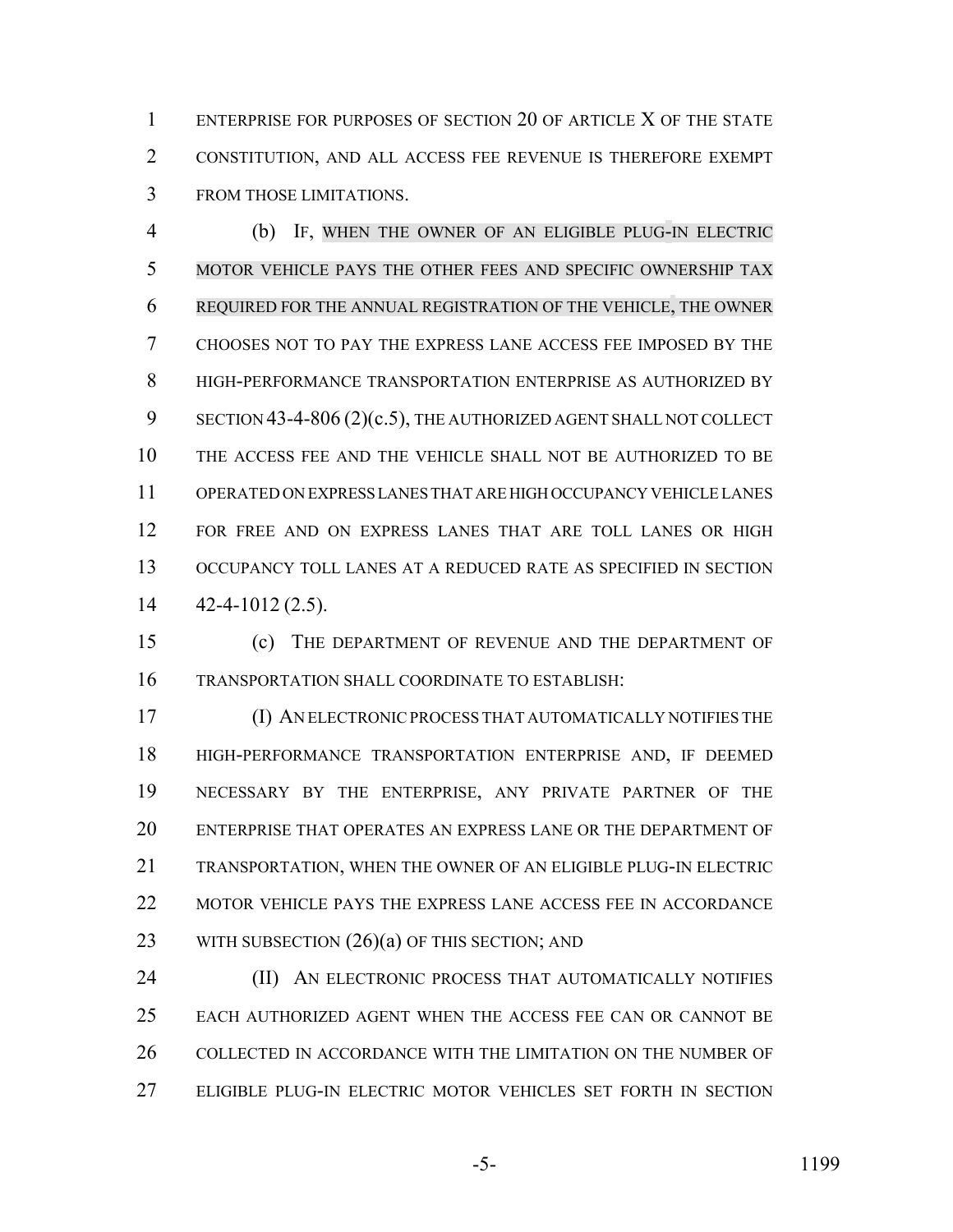ENTERPRISE FOR PURPOSES OF SECTION 20 OF ARTICLE X OF THE STATE CONSTITUTION, AND ALL ACCESS FEE REVENUE IS THEREFORE EXEMPT FROM THOSE LIMITATIONS.

 (b) IF, WHEN THE OWNER OF AN ELIGIBLE PLUG-IN ELECTRIC MOTOR VEHICLE PAYS THE OTHER FEES AND SPECIFIC OWNERSHIP TAX REQUIRED FOR THE ANNUAL REGISTRATION OF THE VEHICLE, THE OWNER CHOOSES NOT TO PAY THE EXPRESS LANE ACCESS FEE IMPOSED BY THE HIGH-PERFORMANCE TRANSPORTATION ENTERPRISE AS AUTHORIZED BY 9 SECTION 43-4-806 (2)(c.5), THE AUTHORIZED AGENT SHALL NOT COLLECT THE ACCESS FEE AND THE VEHICLE SHALL NOT BE AUTHORIZED TO BE OPERATED ON EXPRESS LANES THAT ARE HIGH OCCUPANCY VEHICLE LANES 12 FOR FREE AND ON EXPRESS LANES THAT ARE TOLL LANES OR HIGH OCCUPANCY TOLL LANES AT A REDUCED RATE AS SPECIFIED IN SECTION  $14 \quad 42 - 4 - 1012 \, (2.5)$ .

 (c) THE DEPARTMENT OF REVENUE AND THE DEPARTMENT OF TRANSPORTATION SHALL COORDINATE TO ESTABLISH:

 (I) AN ELECTRONIC PROCESS THAT AUTOMATICALLY NOTIFIES THE HIGH-PERFORMANCE TRANSPORTATION ENTERPRISE AND, IF DEEMED NECESSARY BY THE ENTERPRISE, ANY PRIVATE PARTNER OF THE ENTERPRISE THAT OPERATES AN EXPRESS LANE OR THE DEPARTMENT OF TRANSPORTATION, WHEN THE OWNER OF AN ELIGIBLE PLUG-IN ELECTRIC MOTOR VEHICLE PAYS THE EXPRESS LANE ACCESS FEE IN ACCORDANCE 23 WITH SUBSECTION  $(26)(a)$  OF THIS SECTION; AND

**(II) AN ELECTRONIC PROCESS THAT AUTOMATICALLY NOTIFIES**  EACH AUTHORIZED AGENT WHEN THE ACCESS FEE CAN OR CANNOT BE COLLECTED IN ACCORDANCE WITH THE LIMITATION ON THE NUMBER OF ELIGIBLE PLUG-IN ELECTRIC MOTOR VEHICLES SET FORTH IN SECTION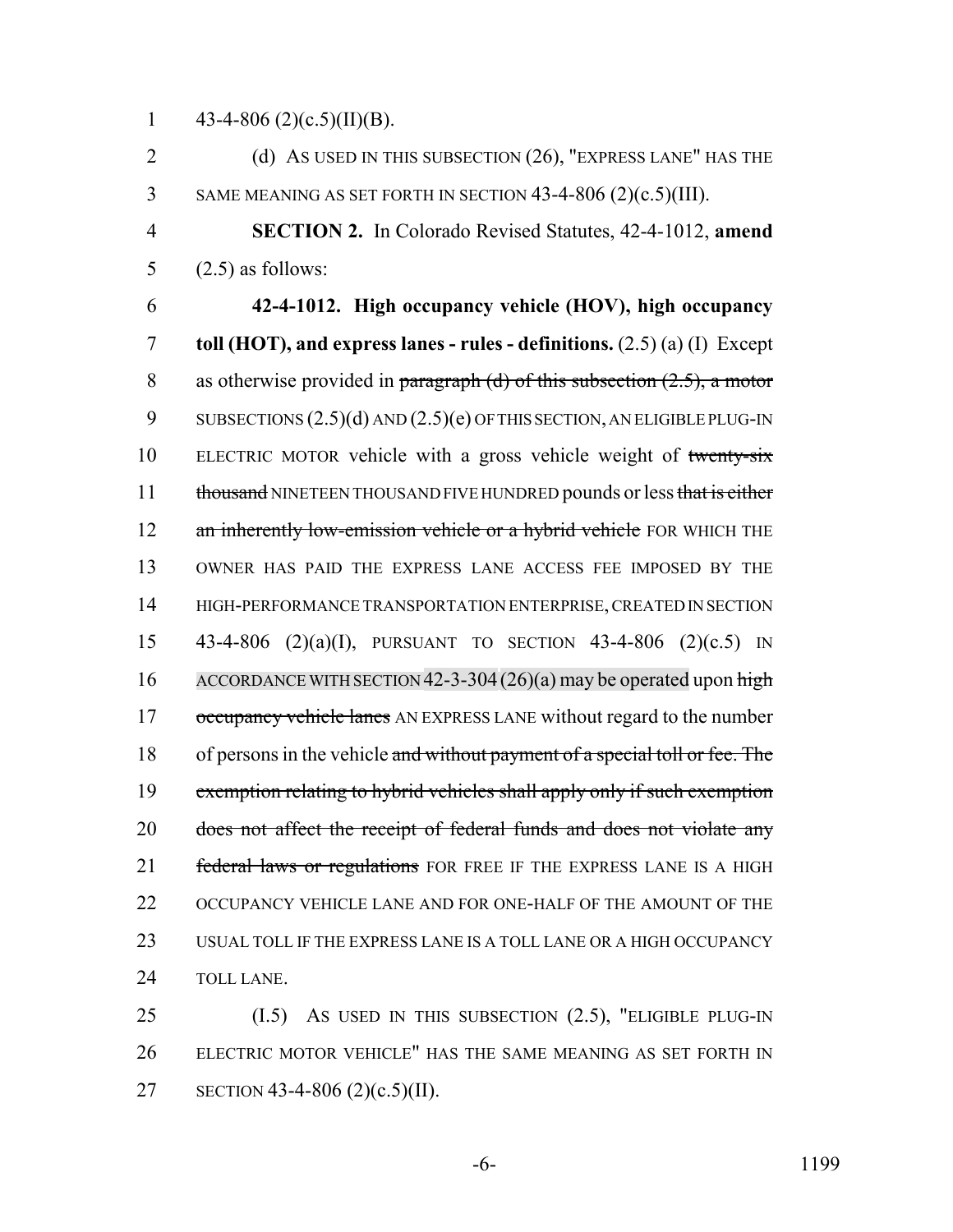1 43-4-806 (2)(c.5)(II)(B).

2 (d) AS USED IN THIS SUBSECTION (26), "EXPRESS LANE" HAS THE 3 SAME MEANING AS SET FORTH IN SECTION 43-4-806 (2)(c.5)(III).

4 **SECTION 2.** In Colorado Revised Statutes, 42-4-1012, **amend** 5  $(2.5)$  as follows:

6 **42-4-1012. High occupancy vehicle (HOV), high occupancy** 7 **toll (HOT), and express lanes - rules - definitions.** (2.5) (a) (I) Except 8 as otherwise provided in paragraph (d) of this subsection  $(2.5)$ , a motor 9 SUBSECTIONS  $(2.5)(d)$  AND  $(2.5)(e)$  OF THIS SECTION, AN ELIGIBLE PLUG-IN 10 ELECTRIC MOTOR vehicle with a gross vehicle weight of twenty-six 11 thousand NINETEEN THOUSAND FIVE HUNDRED pounds or less that is either 12 an inherently low-emission vehicle or a hybrid vehicle FOR WHICH THE 13 OWNER HAS PAID THE EXPRESS LANE ACCESS FEE IMPOSED BY THE 14 HIGH-PERFORMANCE TRANSPORTATION ENTERPRISE, CREATED IN SECTION 15 43-4-806 (2)(a)(I), PURSUANT TO SECTION 43-4-806 (2)(c.5) IN 16 ACCORDANCE WITH SECTION 42-3-304 (26)(a) may be operated upon high 17 occupancy vehicle lanes AN EXPRESS LANE without regard to the number 18 of persons in the vehicle and without payment of a special toll or fee. The 19 exemption relating to hybrid vehicles shall apply only if such exemption 20 does not affect the receipt of federal funds and does not violate any 21 federal laws or regulations FOR FREE IF THE EXPRESS LANE IS A HIGH 22 OCCUPANCY VEHICLE LANE AND FOR ONE-HALF OF THE AMOUNT OF THE 23 USUAL TOLL IF THE EXPRESS LANE IS A TOLL LANE OR A HIGH OCCUPANCY 24 TOLL LANE.

25 (I.5) AS USED IN THIS SUBSECTION (2.5), "ELIGIBLE PLUG-IN 26 ELECTRIC MOTOR VEHICLE" HAS THE SAME MEANING AS SET FORTH IN 27 SECTION 43-4-806 (2)(c.5)(II).

-6- 1199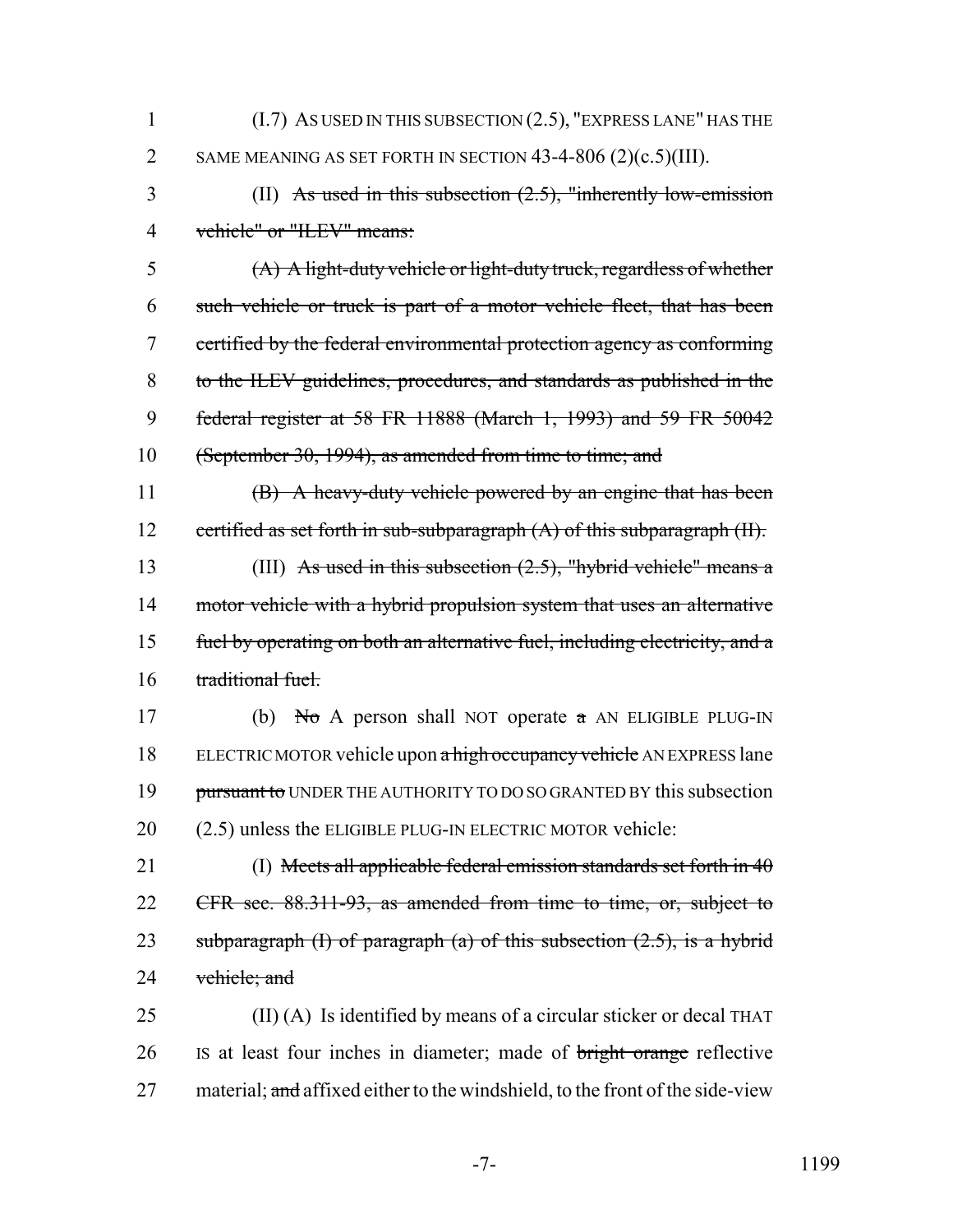- 1 (I.7) AS USED IN THIS SUBSECTION (2.5), "EXPRESS LANE" HAS THE 2 SAME MEANING AS SET FORTH IN SECTION 43-4-806 (2)(c.5)(III).
- 3 (II) As used in this subsection (2.5), "inherently low-emission 4 vehicle" or "ILEV" means:

 (A) A light-duty vehicle or light-duty truck, regardless of whether such vehicle or truck is part of a motor vehicle fleet, that has been certified by the federal environmental protection agency as conforming to the ILEV guidelines, procedures, and standards as published in the federal register at 58 FR 11888 (March 1, 1993) and 59 FR 50042 (September 30, 1994), as amended from time to time; and

11 (B) A heavy-duty vehicle powered by an engine that has been 12 certified as set forth in sub-subparagraph (A) of this subparagraph (II).

13 (III) As used in this subsection  $(2.5)$ , "hybrid vehicle" means a 14 motor vehicle with a hybrid propulsion system that uses an alternative 15 fuel by operating on both an alternative fuel, including electricity, and a 16 traditional fuel.

17 (b) No A person shall NOT operate  $\alpha$  AN ELIGIBLE PLUG-IN 18 ELECTRIC MOTOR vehicle upon a high occupancy vehicle AN EXPRESS lane 19 pursuant to UNDER THE AUTHORITY TO DO SO GRANTED BY this subsection 20 (2.5) unless the ELIGIBLE PLUG-IN ELECTRIC MOTOR vehicle:

21 (I) Meets all applicable federal emission standards set forth in 40 22 CFR sec. 88.311-93, as amended from time to time, or, subject to 23 subparagraph  $(I)$  of paragraph  $(a)$  of this subsection  $(2.5)$ , is a hybrid 24 vehicle; and

25 (II) (A) Is identified by means of a circular sticker or decal THAT 26 IS at least four inches in diameter; made of bright orange reflective 27 material; and affixed either to the windshield, to the front of the side-view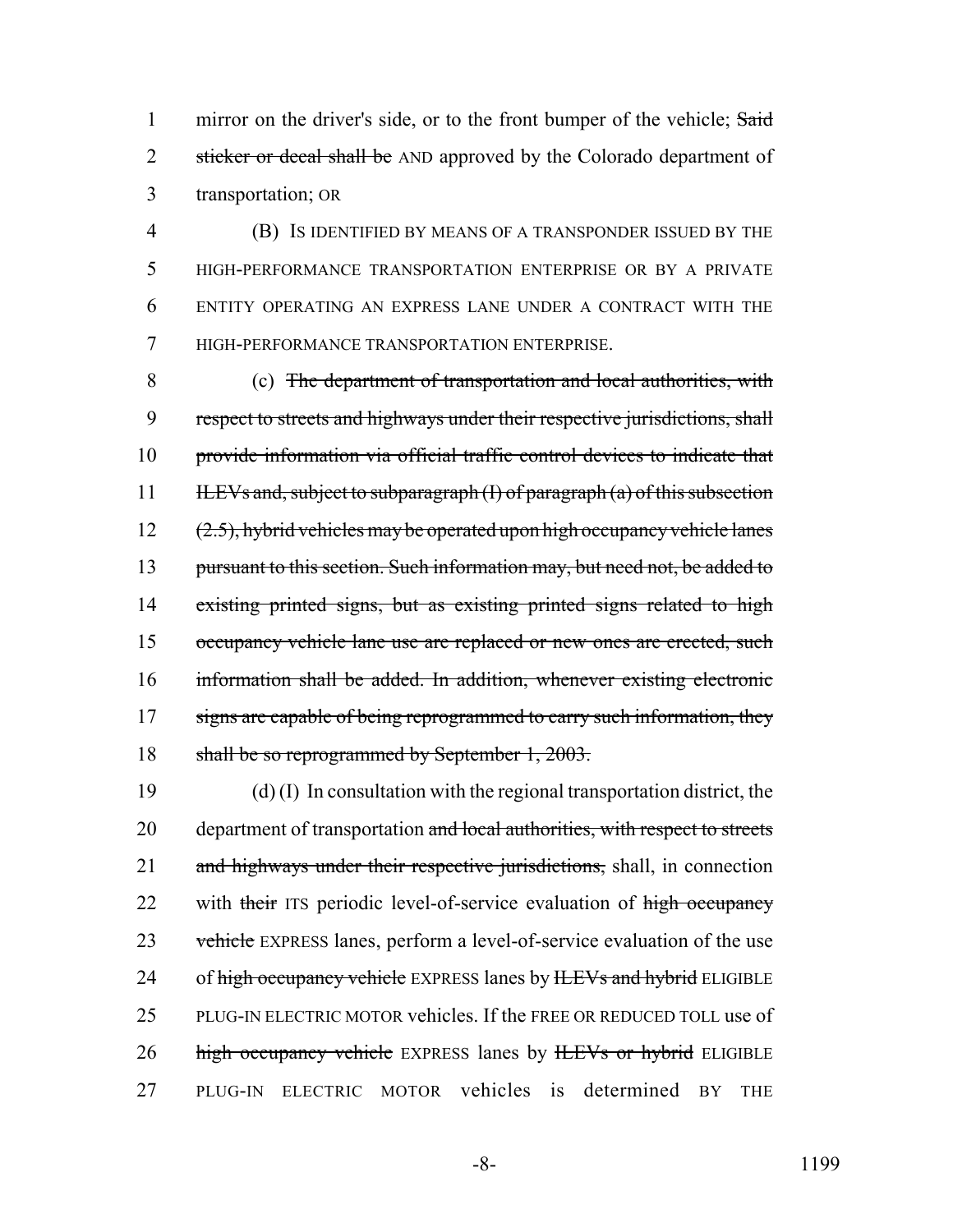1 mirror on the driver's side, or to the front bumper of the vehicle; Said 2 sticker or decal shall be AND approved by the Colorado department of 3 transportation; OR

 (B) IS IDENTIFIED BY MEANS OF A TRANSPONDER ISSUED BY THE HIGH-PERFORMANCE TRANSPORTATION ENTERPRISE OR BY A PRIVATE ENTITY OPERATING AN EXPRESS LANE UNDER A CONTRACT WITH THE HIGH-PERFORMANCE TRANSPORTATION ENTERPRISE.

 (c) The department of transportation and local authorities, with respect to streets and highways under their respective jurisdictions, shall provide information via official traffic control devices to indicate that 11 ILEVs and, subject to subparagraph (I) of paragraph (a) of this subsection  $(2.5)$ , hybrid vehicles may be operated upon high occupancy vehicle lanes 13 pursuant to this section. Such information may, but need not, be added to existing printed signs, but as existing printed signs related to high occupancy vehicle lane use are replaced or new ones are erected, such information shall be added. In addition, whenever existing electronic 17 signs are capable of being reprogrammed to carry such information, they shall be so reprogrammed by September 1, 2003.

19 (d) (I) In consultation with the regional transportation district, the 20 department of transportation and local authorities, with respect to streets 21 and highways under their respective jurisdictions, shall, in connection 22 with their ITS periodic level-of-service evaluation of high occupancy 23 vehicle EXPRESS lanes, perform a level-of-service evaluation of the use 24 of high occupancy vehicle EXPRESS lanes by HEVs and hybrid ELIGIBLE 25 PLUG-IN ELECTRIC MOTOR vehicles. If the FREE OR REDUCED TOLL use of 26 high occupancy vehicle EXPRESS lanes by HEVs or hybrid ELIGIBLE 27 PLUG-IN ELECTRIC MOTOR vehicles is determined BY THE

-8- 1199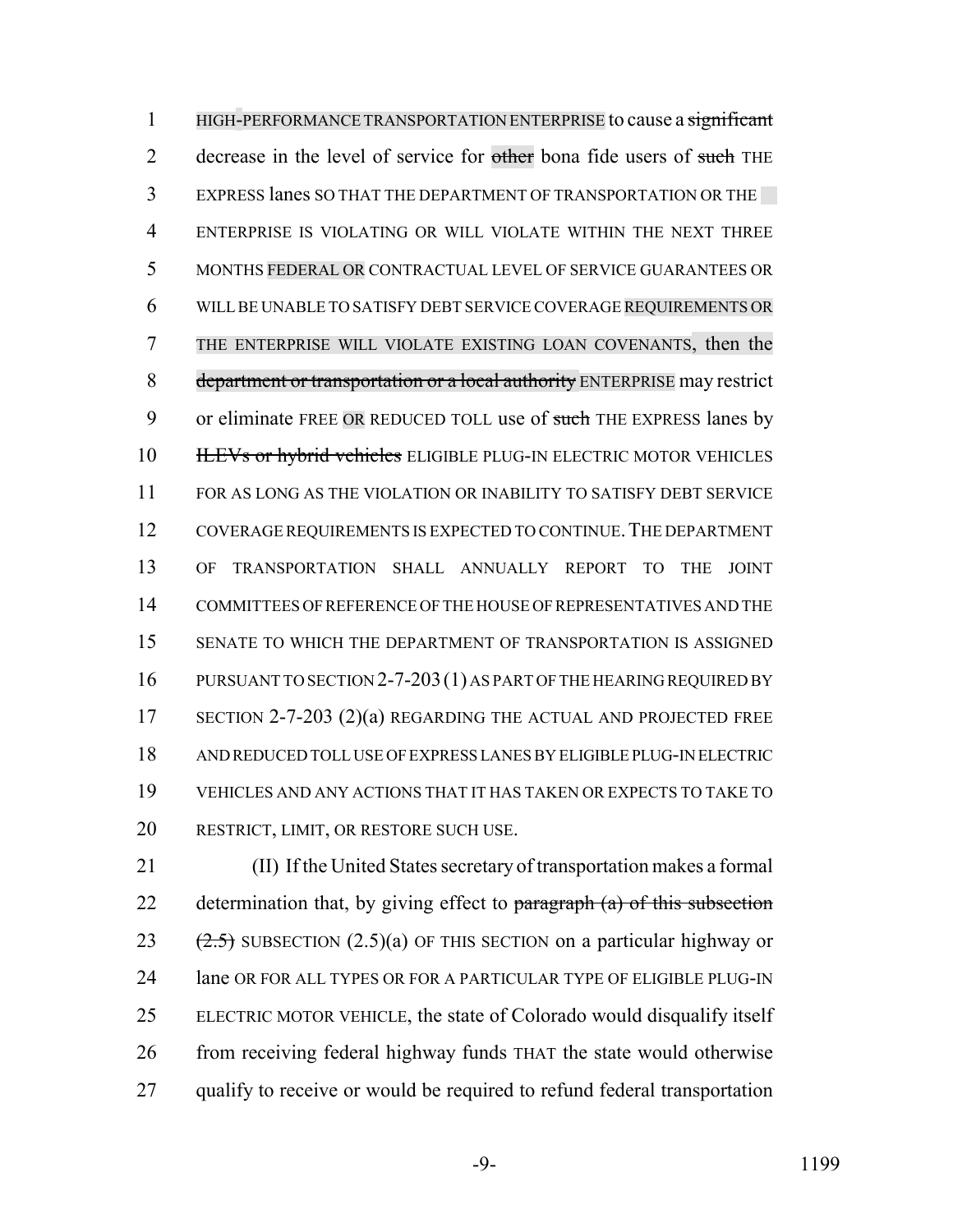1 HIGH-PERFORMANCE TRANSPORTATION ENTERPRISE to cause a significant 2 decrease in the level of service for other bona fide users of such THE EXPRESS lanes SO THAT THE DEPARTMENT OF TRANSPORTATION OR THE ENTERPRISE IS VIOLATING OR WILL VIOLATE WITHIN THE NEXT THREE MONTHS FEDERAL OR CONTRACTUAL LEVEL OF SERVICE GUARANTEES OR WILL BE UNABLE TO SATISFY DEBT SERVICE COVERAGE REQUIREMENTS OR THE ENTERPRISE WILL VIOLATE EXISTING LOAN COVENANTS, then the 8 department or transportation or a local authority ENTERPRISE may restrict 9 or eliminate FREE OR REDUCED TOLL use of such THE EXPRESS lanes by **ILEVs or hybrid vehicles** ELIGIBLE PLUG-IN ELECTRIC MOTOR VEHICLES FOR AS LONG AS THE VIOLATION OR INABILITY TO SATISFY DEBT SERVICE COVERAGE REQUIREMENTS IS EXPECTED TO CONTINUE.THE DEPARTMENT OF TRANSPORTATION SHALL ANNUALLY REPORT TO THE JOINT COMMITTEES OF REFERENCE OF THE HOUSE OF REPRESENTATIVES AND THE SENATE TO WHICH THE DEPARTMENT OF TRANSPORTATION IS ASSIGNED PURSUANT TO SECTION 2-7-203(1) AS PART OF THE HEARING REQUIRED BY 17 SECTION 2-7-203 (2)(a) REGARDING THE ACTUAL AND PROJECTED FREE AND REDUCED TOLL USE OF EXPRESS LANES BY ELIGIBLE PLUG-IN ELECTRIC VEHICLES AND ANY ACTIONS THAT IT HAS TAKEN OR EXPECTS TO TAKE TO RESTRICT, LIMIT, OR RESTORE SUCH USE.

 (II) If the United States secretary of transportation makes a formal 22 determination that, by giving effect to paragraph (a) of this subsection 23  $(2.5)$  SUBSECTION  $(2.5)(a)$  OF THIS SECTION on a particular highway or 24 lane OR FOR ALL TYPES OR FOR A PARTICULAR TYPE OF ELIGIBLE PLUG-IN ELECTRIC MOTOR VEHICLE, the state of Colorado would disqualify itself from receiving federal highway funds THAT the state would otherwise 27 qualify to receive or would be required to refund federal transportation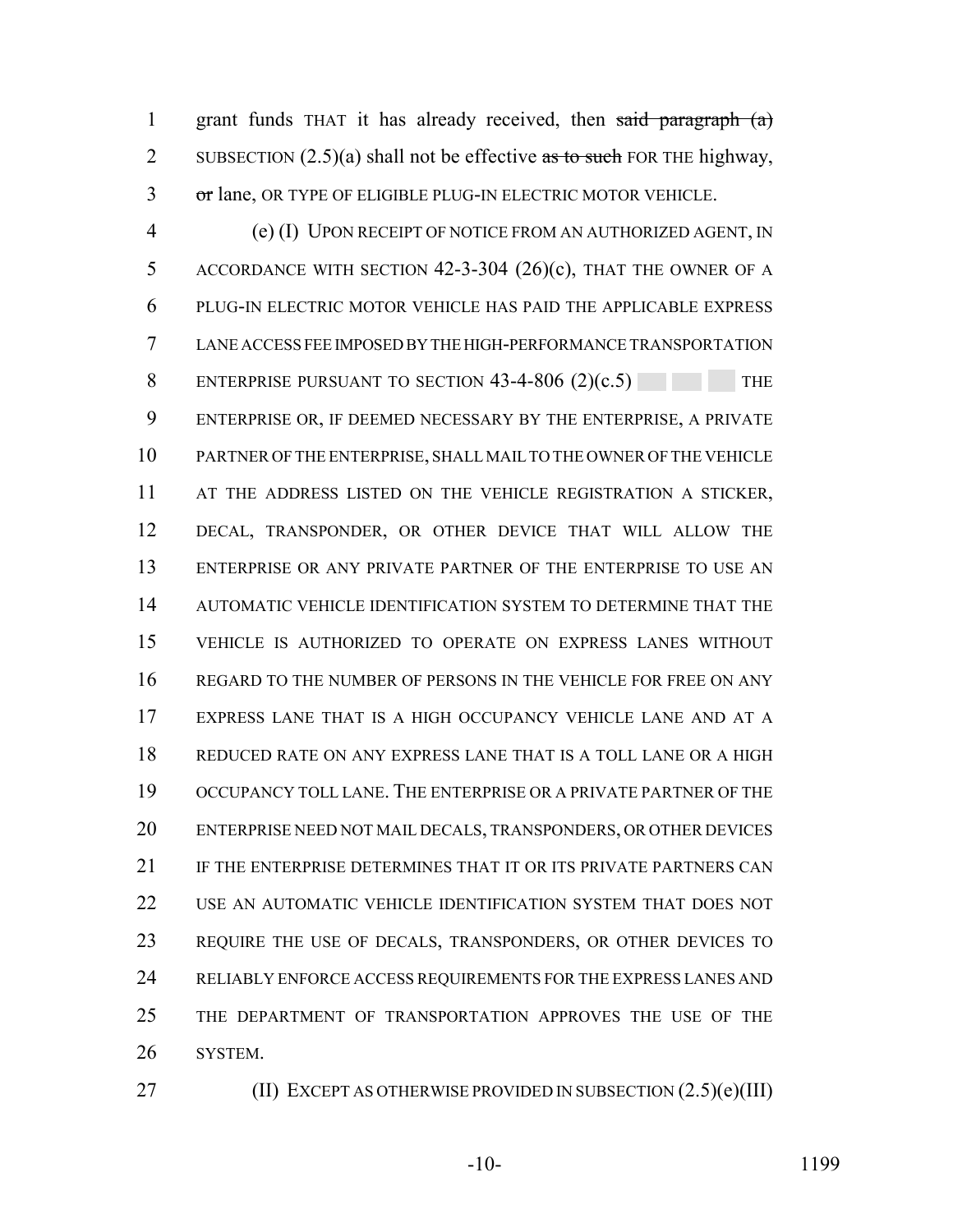grant funds THAT it has already received, then said paragraph (a) 2 SUBSECTION  $(2.5)(a)$  shall not be effective as to such FOR THE highway, 3 or lane, OR TYPE OF ELIGIBLE PLUG-IN ELECTRIC MOTOR VEHICLE.

 (e) (I) UPON RECEIPT OF NOTICE FROM AN AUTHORIZED AGENT, IN 5 ACCORDANCE WITH SECTION 42-3-304 (26)(c), THAT THE OWNER OF A PLUG-IN ELECTRIC MOTOR VEHICLE HAS PAID THE APPLICABLE EXPRESS LANE ACCESS FEE IMPOSED BY THE HIGH-PERFORMANCE TRANSPORTATION 8 ENTERPRISE PURSUANT TO SECTION 43-4-806 (2)(c.5) THE ENTERPRISE OR, IF DEEMED NECESSARY BY THE ENTERPRISE, A PRIVATE PARTNER OF THE ENTERPRISE, SHALL MAIL TO THE OWNER OF THE VEHICLE 11 AT THE ADDRESS LISTED ON THE VEHICLE REGISTRATION A STICKER, DECAL, TRANSPONDER, OR OTHER DEVICE THAT WILL ALLOW THE ENTERPRISE OR ANY PRIVATE PARTNER OF THE ENTERPRISE TO USE AN AUTOMATIC VEHICLE IDENTIFICATION SYSTEM TO DETERMINE THAT THE VEHICLE IS AUTHORIZED TO OPERATE ON EXPRESS LANES WITHOUT REGARD TO THE NUMBER OF PERSONS IN THE VEHICLE FOR FREE ON ANY EXPRESS LANE THAT IS A HIGH OCCUPANCY VEHICLE LANE AND AT A REDUCED RATE ON ANY EXPRESS LANE THAT IS A TOLL LANE OR A HIGH OCCUPANCY TOLL LANE. THE ENTERPRISE OR A PRIVATE PARTNER OF THE ENTERPRISE NEED NOT MAIL DECALS, TRANSPONDERS, OR OTHER DEVICES 21 IF THE ENTERPRISE DETERMINES THAT IT OR ITS PRIVATE PARTNERS CAN USE AN AUTOMATIC VEHICLE IDENTIFICATION SYSTEM THAT DOES NOT REQUIRE THE USE OF DECALS, TRANSPONDERS, OR OTHER DEVICES TO RELIABLY ENFORCE ACCESS REQUIREMENTS FOR THE EXPRESS LANES AND THE DEPARTMENT OF TRANSPORTATION APPROVES THE USE OF THE SYSTEM.

**(II) EXCEPT AS OTHERWISE PROVIDED IN SUBSECTION (2.5)(e)(III)**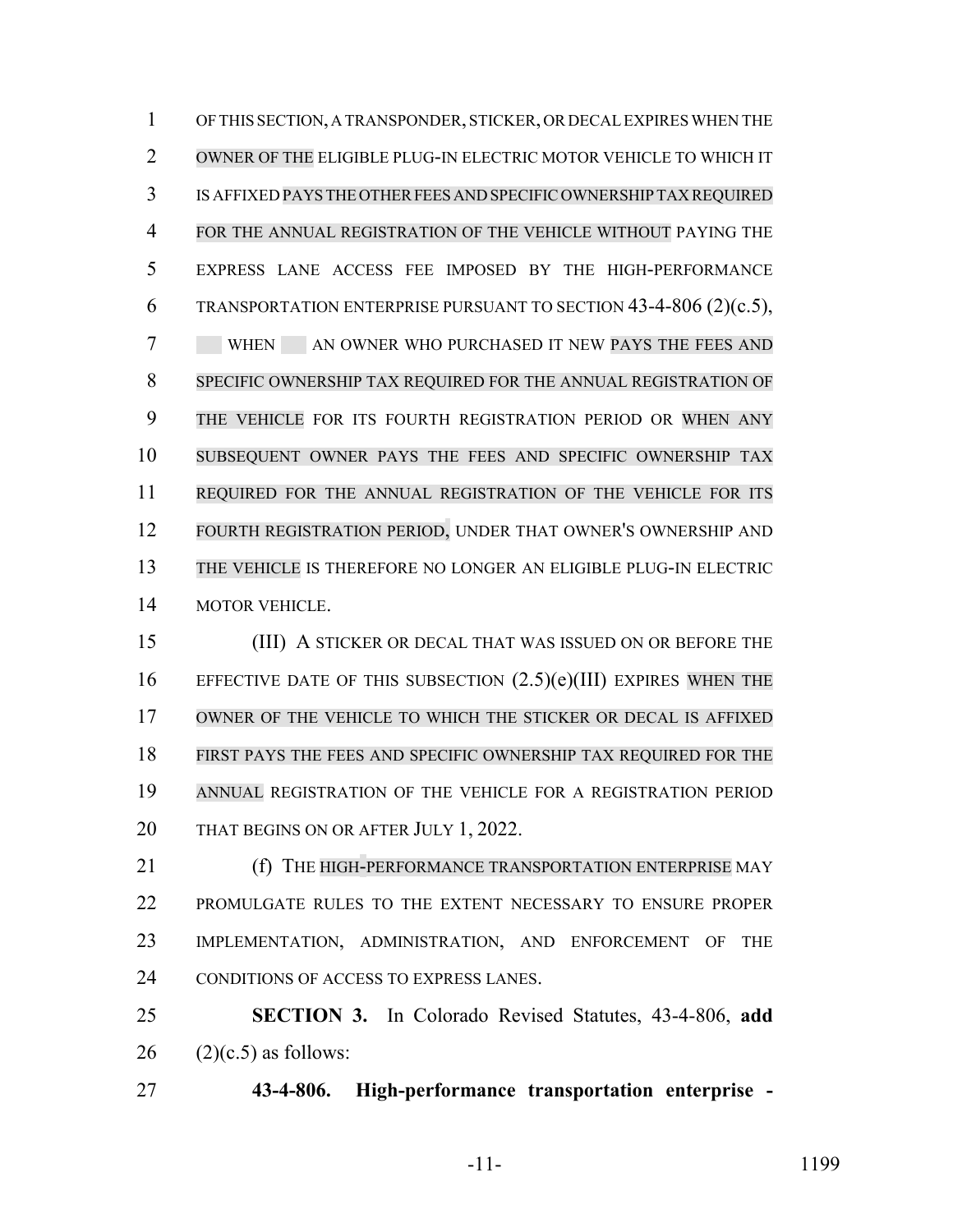OF THIS SECTION, A TRANSPONDER, STICKER, OR DECAL EXPIRES WHEN THE OWNER OF THE ELIGIBLE PLUG-IN ELECTRIC MOTOR VEHICLE TO WHICH IT IS AFFIXED PAYS THE OTHER FEES AND SPECIFIC OWNERSHIP TAX REQUIRED FOR THE ANNUAL REGISTRATION OF THE VEHICLE WITHOUT PAYING THE EXPRESS LANE ACCESS FEE IMPOSED BY THE HIGH-PERFORMANCE TRANSPORTATION ENTERPRISE PURSUANT TO SECTION 43-4-806 (2)(c.5), 7 WHEN AN OWNER WHO PURCHASED IT NEW PAYS THE FEES AND SPECIFIC OWNERSHIP TAX REQUIRED FOR THE ANNUAL REGISTRATION OF THE VEHICLE FOR ITS FOURTH REGISTRATION PERIOD OR WHEN ANY SUBSEQUENT OWNER PAYS THE FEES AND SPECIFIC OWNERSHIP TAX REQUIRED FOR THE ANNUAL REGISTRATION OF THE VEHICLE FOR ITS FOURTH REGISTRATION PERIOD, UNDER THAT OWNER'S OWNERSHIP AND THE VEHICLE IS THEREFORE NO LONGER AN ELIGIBLE PLUG-IN ELECTRIC MOTOR VEHICLE.

 (III) A STICKER OR DECAL THAT WAS ISSUED ON OR BEFORE THE EFFECTIVE DATE OF THIS SUBSECTION (2.5)(e)(III) EXPIRES WHEN THE OWNER OF THE VEHICLE TO WHICH THE STICKER OR DECAL IS AFFIXED FIRST PAYS THE FEES AND SPECIFIC OWNERSHIP TAX REQUIRED FOR THE ANNUAL REGISTRATION OF THE VEHICLE FOR A REGISTRATION PERIOD THAT BEGINS ON OR AFTER JULY 1, 2022.

**(f)** THE HIGH-PERFORMANCE TRANSPORTATION ENTERPRISE MAY PROMULGATE RULES TO THE EXTENT NECESSARY TO ENSURE PROPER IMPLEMENTATION, ADMINISTRATION, AND ENFORCEMENT OF THE CONDITIONS OF ACCESS TO EXPRESS LANES.

 **SECTION 3.** In Colorado Revised Statutes, 43-4-806, **add** (2)(c.5) as follows:

**43-4-806. High-performance transportation enterprise -**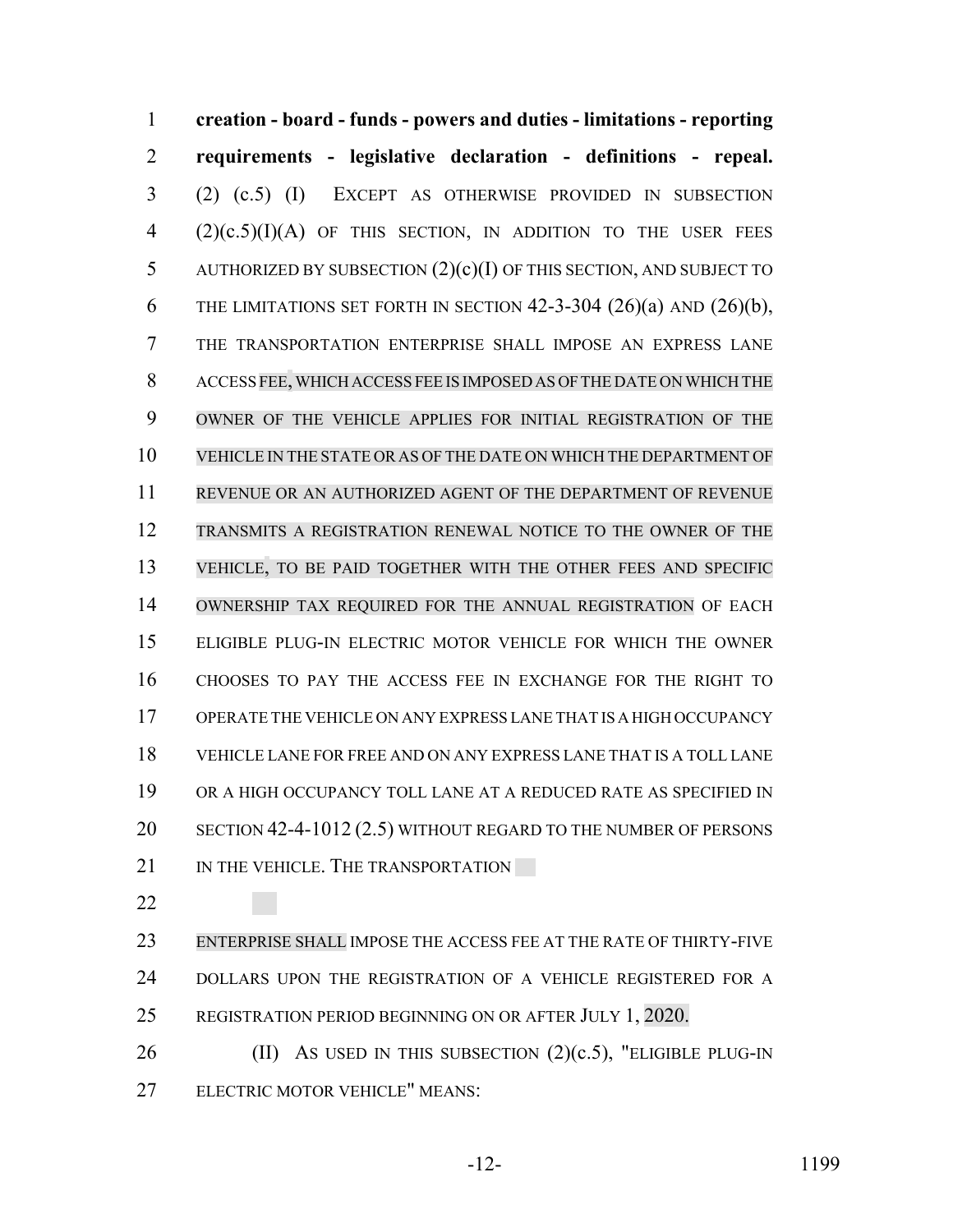**creation - board - funds - powers and duties - limitations - reporting requirements - legislative declaration - definitions - repeal.** (2) (c.5) (I) EXCEPT AS OTHERWISE PROVIDED IN SUBSECTION  $(2)(c.5)(I)(A)$  OF THIS SECTION, IN ADDITION TO THE USER FEES AUTHORIZED BY SUBSECTION (2)(c)(I) OF THIS SECTION, AND SUBJECT TO 6 THE LIMITATIONS SET FORTH IN SECTION  $42-3-304$   $(26)(a)$  and  $(26)(b)$ , THE TRANSPORTATION ENTERPRISE SHALL IMPOSE AN EXPRESS LANE ACCESS FEE,WHICH ACCESS FEE IS IMPOSED AS OF THE DATE ON WHICH THE OWNER OF THE VEHICLE APPLIES FOR INITIAL REGISTRATION OF THE VEHICLE IN THE STATE OR AS OF THE DATE ON WHICH THE DEPARTMENT OF REVENUE OR AN AUTHORIZED AGENT OF THE DEPARTMENT OF REVENUE TRANSMITS A REGISTRATION RENEWAL NOTICE TO THE OWNER OF THE VEHICLE, TO BE PAID TOGETHER WITH THE OTHER FEES AND SPECIFIC OWNERSHIP TAX REQUIRED FOR THE ANNUAL REGISTRATION OF EACH ELIGIBLE PLUG-IN ELECTRIC MOTOR VEHICLE FOR WHICH THE OWNER CHOOSES TO PAY THE ACCESS FEE IN EXCHANGE FOR THE RIGHT TO OPERATE THE VEHICLE ON ANY EXPRESS LANE THAT IS A HIGH OCCUPANCY VEHICLE LANE FOR FREE AND ON ANY EXPRESS LANE THAT IS A TOLL LANE OR A HIGH OCCUPANCY TOLL LANE AT A REDUCED RATE AS SPECIFIED IN SECTION 42-4-1012 (2.5) WITHOUT REGARD TO THE NUMBER OF PERSONS 21 IN THE VEHICLE. THE TRANSPORTATION

 ENTERPRISE SHALL IMPOSE THE ACCESS FEE AT THE RATE OF THIRTY-FIVE 24 DOLLARS UPON THE REGISTRATION OF A VEHICLE REGISTERED FOR A REGISTRATION PERIOD BEGINNING ON OR AFTER JULY 1, 2020.

26 (II) AS USED IN THIS SUBSECTION  $(2)(c.5)$ , "ELIGIBLE PLUG-IN ELECTRIC MOTOR VEHICLE" MEANS: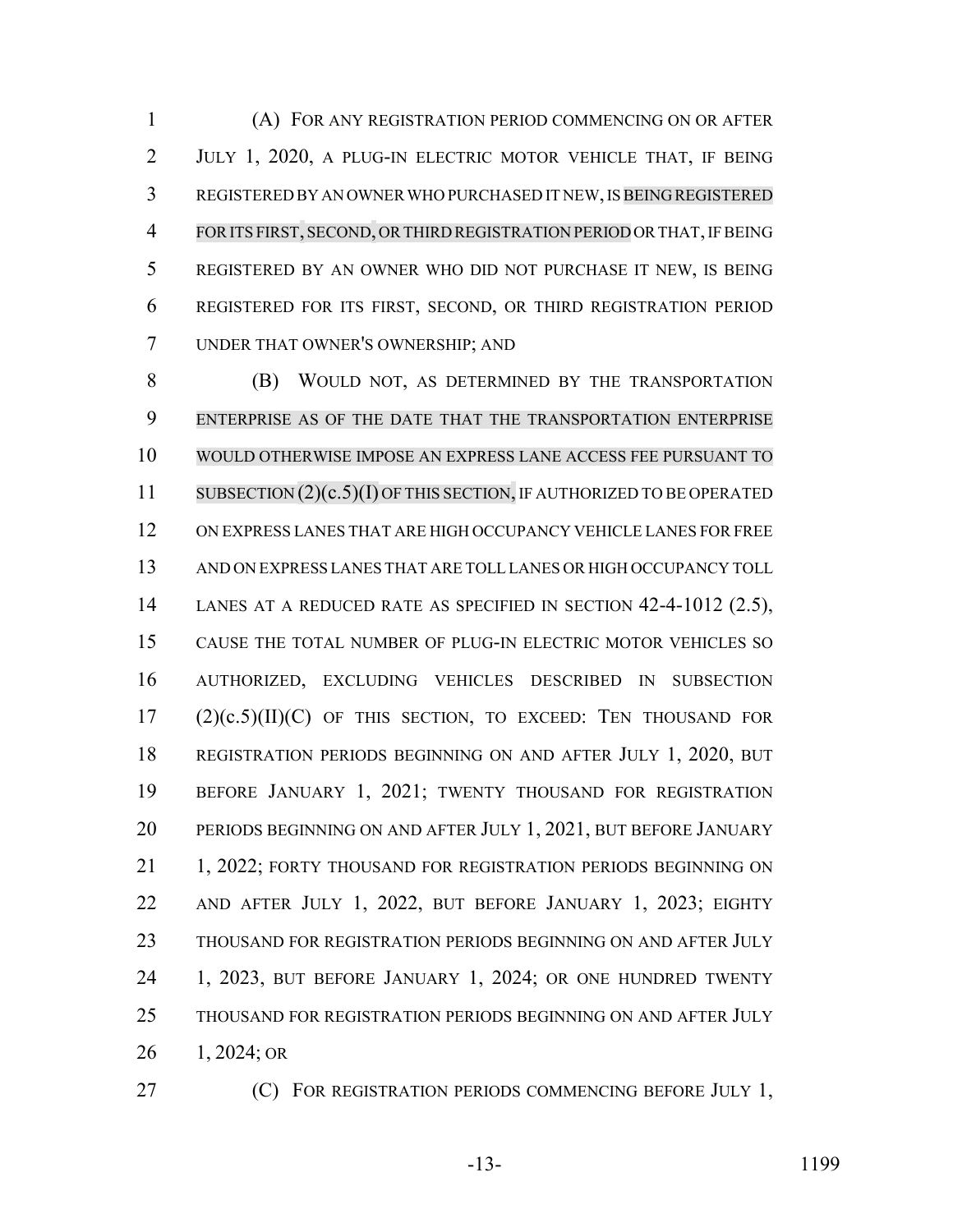(A) FOR ANY REGISTRATION PERIOD COMMENCING ON OR AFTER JULY 1, 2020, A PLUG-IN ELECTRIC MOTOR VEHICLE THAT, IF BEING REGISTERED BY AN OWNER WHO PURCHASED IT NEW, IS BEING REGISTERED FORITS FIRST, SECOND, ORTHIRD REGISTRATION PERIOD OR THAT, IF BEING REGISTERED BY AN OWNER WHO DID NOT PURCHASE IT NEW, IS BEING REGISTERED FOR ITS FIRST, SECOND, OR THIRD REGISTRATION PERIOD UNDER THAT OWNER'S OWNERSHIP; AND

 (B) WOULD NOT, AS DETERMINED BY THE TRANSPORTATION ENTERPRISE AS OF THE DATE THAT THE TRANSPORTATION ENTERPRISE WOULD OTHERWISE IMPOSE AN EXPRESS LANE ACCESS FEE PURSUANT TO 11 SUBSECTION (2)(c.5)(I) OF THIS SECTION, IF AUTHORIZED TO BE OPERATED ON EXPRESS LANES THAT ARE HIGH OCCUPANCY VEHICLE LANES FOR FREE AND ON EXPRESS LANES THAT ARE TOLL LANES OR HIGH OCCUPANCY TOLL LANES AT A REDUCED RATE AS SPECIFIED IN SECTION 42-4-1012 (2.5), CAUSE THE TOTAL NUMBER OF PLUG-IN ELECTRIC MOTOR VEHICLES SO AUTHORIZED, EXCLUDING VEHICLES DESCRIBED IN SUBSECTION (2)(c.5)(II)(C) OF THIS SECTION, TO EXCEED: TEN THOUSAND FOR REGISTRATION PERIODS BEGINNING ON AND AFTER JULY 1, 2020, BUT BEFORE JANUARY 1, 2021; TWENTY THOUSAND FOR REGISTRATION PERIODS BEGINNING ON AND AFTER JULY 1, 2021, BUT BEFORE JANUARY 21 1, 2022; FORTY THOUSAND FOR REGISTRATION PERIODS BEGINNING ON AND AFTER JULY 1, 2022, BUT BEFORE JANUARY 1, 2023; EIGHTY THOUSAND FOR REGISTRATION PERIODS BEGINNING ON AND AFTER JULY 1, 2023, BUT BEFORE JANUARY 1, 2024; OR ONE HUNDRED TWENTY THOUSAND FOR REGISTRATION PERIODS BEGINNING ON AND AFTER JULY 1, 2024; OR

**(C)** FOR REGISTRATION PERIODS COMMENCING BEFORE JULY 1,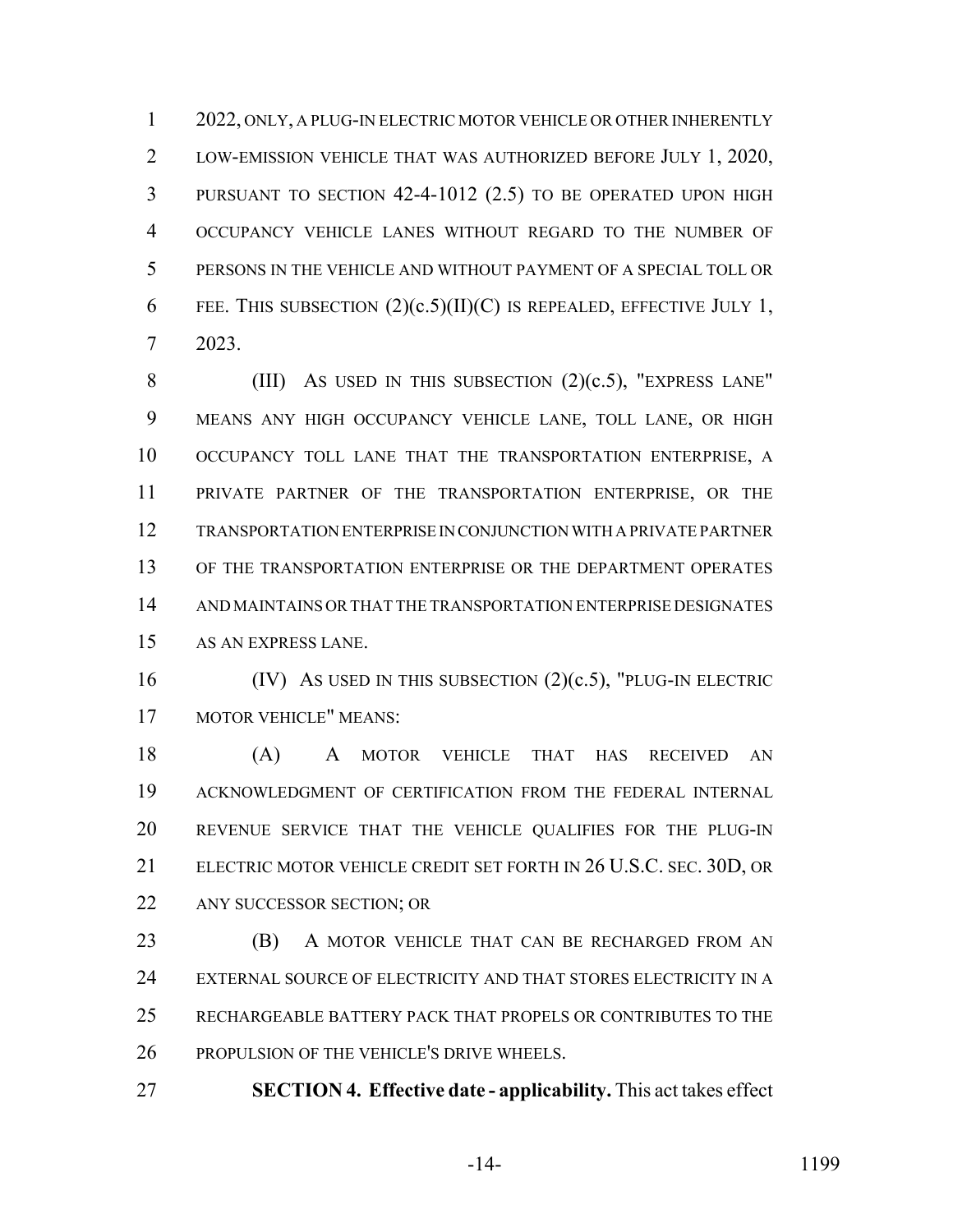2022, ONLY, A PLUG-IN ELECTRIC MOTOR VEHICLE OR OTHER INHERENTLY LOW-EMISSION VEHICLE THAT WAS AUTHORIZED BEFORE JULY 1, 2020, PURSUANT TO SECTION 42-4-1012 (2.5) TO BE OPERATED UPON HIGH OCCUPANCY VEHICLE LANES WITHOUT REGARD TO THE NUMBER OF PERSONS IN THE VEHICLE AND WITHOUT PAYMENT OF A SPECIAL TOLL OR 6 FEE. THIS SUBSECTION  $(2)(c.5)(II)(C)$  IS REPEALED, EFFECTIVE JULY 1, 2023.

8 (III) AS USED IN THIS SUBSECTION  $(2)(c.5)$ , "EXPRESS LANE" MEANS ANY HIGH OCCUPANCY VEHICLE LANE, TOLL LANE, OR HIGH OCCUPANCY TOLL LANE THAT THE TRANSPORTATION ENTERPRISE, A PRIVATE PARTNER OF THE TRANSPORTATION ENTERPRISE, OR THE TRANSPORTATION ENTERPRISE IN CONJUNCTION WITH A PRIVATE PARTNER OF THE TRANSPORTATION ENTERPRISE OR THE DEPARTMENT OPERATES AND MAINTAINS OR THAT THE TRANSPORTATION ENTERPRISE DESIGNATES AS AN EXPRESS LANE.

16 (IV) As USED IN THIS SUBSECTION (2)(c.5), "PLUG-IN ELECTRIC MOTOR VEHICLE" MEANS:

 (A) A MOTOR VEHICLE THAT HAS RECEIVED AN ACKNOWLEDGMENT OF CERTIFICATION FROM THE FEDERAL INTERNAL REVENUE SERVICE THAT THE VEHICLE QUALIFIES FOR THE PLUG-IN ELECTRIC MOTOR VEHICLE CREDIT SET FORTH IN 26 U.S.C. SEC. 30D, OR ANY SUCCESSOR SECTION; OR

**(B)** A MOTOR VEHICLE THAT CAN BE RECHARGED FROM AN EXTERNAL SOURCE OF ELECTRICITY AND THAT STORES ELECTRICITY IN A RECHARGEABLE BATTERY PACK THAT PROPELS OR CONTRIBUTES TO THE PROPULSION OF THE VEHICLE'S DRIVE WHEELS.

**SECTION 4. Effective date - applicability.** This act takes effect